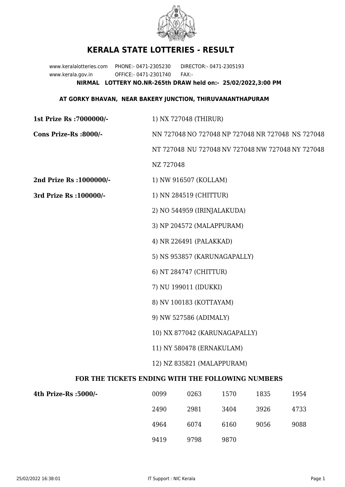

## **KERALA STATE LOTTERIES - RESULT**

www.keralalotteries.com PHONE:- 0471-2305230 DIRECTOR:- 0471-2305193 www.kerala.gov.in OFFICE:- 0471-2301740 FAX:- **NIRMAL LOTTERY NO.NR-265th DRAW held on:- 25/02/2022,3:00 PM**

## **AT GORKY BHAVAN, NEAR BAKERY JUNCTION, THIRUVANANTHAPURAM**

| 1st Prize Rs : 7000000/-                          | 1) NX 727048 (THIRUR)                                                                    |                       |      |      |      |  |
|---------------------------------------------------|------------------------------------------------------------------------------------------|-----------------------|------|------|------|--|
| Cons Prize-Rs :8000/-                             | NN 727048 NO 727048 NP 727048 NR 727048 NS 727048                                        |                       |      |      |      |  |
|                                                   | NT 727048 NU 727048 NV 727048 NW 727048 NY 727048                                        |                       |      |      |      |  |
|                                                   | NZ 727048                                                                                |                       |      |      |      |  |
| 2nd Prize Rs : 1000000/-                          |                                                                                          | 1) NW 916507 (KOLLAM) |      |      |      |  |
| 3rd Prize Rs : 100000/-                           | 1) NN 284519 (CHITTUR)                                                                   |                       |      |      |      |  |
|                                                   | 2) NO 544959 (IRINJALAKUDA)                                                              |                       |      |      |      |  |
|                                                   | 3) NP 204572 (MALAPPURAM)                                                                |                       |      |      |      |  |
|                                                   | 4) NR 226491 (PALAKKAD)                                                                  |                       |      |      |      |  |
|                                                   | 5) NS 953857 (KARUNAGAPALLY)                                                             |                       |      |      |      |  |
|                                                   | 6) NT 284747 (CHITTUR)                                                                   |                       |      |      |      |  |
|                                                   | 7) NU 199011 (IDUKKI)                                                                    |                       |      |      |      |  |
|                                                   | 8) NV 100183 (KOTTAYAM)                                                                  |                       |      |      |      |  |
|                                                   | 9) NW 527586 (ADIMALY)                                                                   |                       |      |      |      |  |
|                                                   | 10) NX 877042 (KARUNAGAPALLY)<br>11) NY 580478 (ERNAKULAM)<br>12) NZ 835821 (MALAPPURAM) |                       |      |      |      |  |
|                                                   |                                                                                          |                       |      |      |      |  |
|                                                   |                                                                                          |                       |      |      |      |  |
| FOR THE TICKETS ENDING WITH THE FOLLOWING NUMBERS |                                                                                          |                       |      |      |      |  |
| 4th Prize-Rs :5000/-                              | 0099                                                                                     | 0263                  | 1570 | 1835 | 1954 |  |

| rize-ks :ɔuuu/- | UUYY. | U203 | 10/U | 1830 | 1994. |
|-----------------|-------|------|------|------|-------|
|                 | 2490  | 2981 | 3404 | 3926 | 4733  |
|                 | 4964  | 6074 | 6160 | 9056 | 9088  |
|                 | 9419  | 9798 | 9870 |      |       |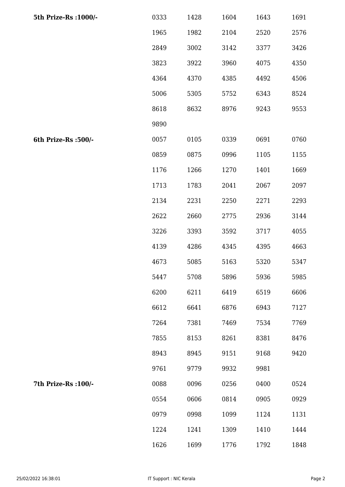| 5th Prize-Rs : 1000/- | 0333 | 1428 | 1604 | 1643 | 1691 |
|-----------------------|------|------|------|------|------|
|                       | 1965 | 1982 | 2104 | 2520 | 2576 |
|                       | 2849 | 3002 | 3142 | 3377 | 3426 |
|                       | 3823 | 3922 | 3960 | 4075 | 4350 |
|                       | 4364 | 4370 | 4385 | 4492 | 4506 |
|                       | 5006 | 5305 | 5752 | 6343 | 8524 |
|                       | 8618 | 8632 | 8976 | 9243 | 9553 |
|                       | 9890 |      |      |      |      |
| 6th Prize-Rs :500/-   | 0057 | 0105 | 0339 | 0691 | 0760 |
|                       | 0859 | 0875 | 0996 | 1105 | 1155 |
|                       | 1176 | 1266 | 1270 | 1401 | 1669 |
|                       | 1713 | 1783 | 2041 | 2067 | 2097 |
|                       | 2134 | 2231 | 2250 | 2271 | 2293 |
|                       | 2622 | 2660 | 2775 | 2936 | 3144 |
|                       | 3226 | 3393 | 3592 | 3717 | 4055 |
|                       | 4139 | 4286 | 4345 | 4395 | 4663 |
|                       | 4673 | 5085 | 5163 | 5320 | 5347 |
|                       | 5447 | 5708 | 5896 | 5936 | 5985 |
|                       | 6200 | 6211 | 6419 | 6519 | 6606 |
|                       | 6612 | 6641 | 6876 | 6943 | 7127 |
|                       | 7264 | 7381 | 7469 | 7534 | 7769 |
|                       | 7855 | 8153 | 8261 | 8381 | 8476 |
|                       | 8943 | 8945 | 9151 | 9168 | 9420 |
|                       | 9761 | 9779 | 9932 | 9981 |      |
| 7th Prize-Rs : 100/-  | 0088 | 0096 | 0256 | 0400 | 0524 |
|                       | 0554 | 0606 | 0814 | 0905 | 0929 |
|                       | 0979 | 0998 | 1099 | 1124 | 1131 |
|                       | 1224 | 1241 | 1309 | 1410 | 1444 |
|                       | 1626 | 1699 | 1776 | 1792 | 1848 |